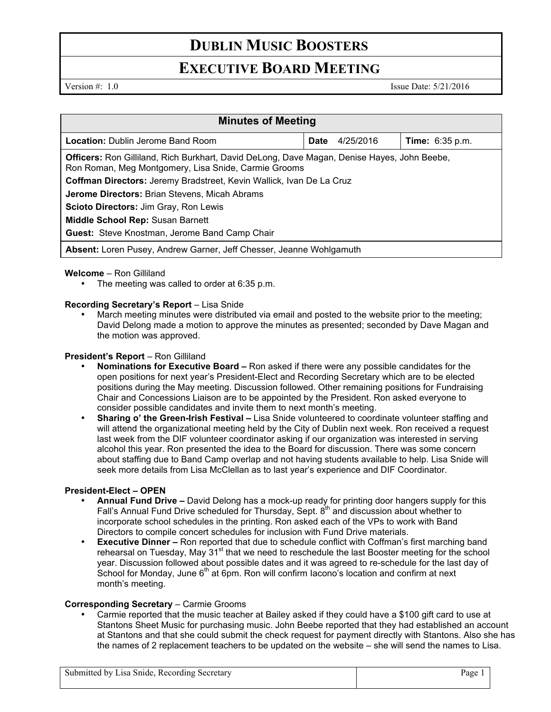# **DUBLIN MUSIC BOOSTERS**

## **EXECUTIVE BOARD MEETING**

Version #: 1.0 Issue Date: 5/21/2016

| <b>Minutes of Meeting</b>                                                                                                                                  |             |           |                        |
|------------------------------------------------------------------------------------------------------------------------------------------------------------|-------------|-----------|------------------------|
| <b>Location:</b> Dublin Jerome Band Room                                                                                                                   | <b>Date</b> | 4/25/2016 | <b>Time:</b> 6:35 p.m. |
| <b>Officers:</b> Ron Gilliland, Rich Burkhart, David DeLong, Dave Magan, Denise Hayes, John Beebe,<br>Ron Roman, Meg Montgomery, Lisa Snide, Carmie Grooms |             |           |                        |
| Coffman Directors: Jeremy Bradstreet, Kevin Wallick, Ivan De La Cruz                                                                                       |             |           |                        |
| Jerome Directors: Brian Stevens, Micah Abrams                                                                                                              |             |           |                        |
| <b>Scioto Directors: Jim Gray, Ron Lewis</b>                                                                                                               |             |           |                        |
| <b>Middle School Rep: Susan Barnett</b>                                                                                                                    |             |           |                        |
| <b>Guest:</b> Steve Knostman, Jerome Band Camp Chair                                                                                                       |             |           |                        |
| Absent: Loren Pusey, Andrew Garner, Jeff Chesser, Jeanne Wohlgamuth                                                                                        |             |           |                        |

#### **Welcome** – Ron Gilliland

The meeting was called to order at 6:35 p.m.

#### **Recording Secretary's Report** - Lisa Snide

• March meeting minutes were distributed via email and posted to the website prior to the meeting; David Delong made a motion to approve the minutes as presented; seconded by Dave Magan and the motion was approved.

#### **President's Report - Ron Gilliland**

- **Nominations for Executive Board –** Ron asked if there were any possible candidates for the open positions for next year's President-Elect and Recording Secretary which are to be elected positions during the May meeting. Discussion followed. Other remaining positions for Fundraising Chair and Concessions Liaison are to be appointed by the President. Ron asked everyone to consider possible candidates and invite them to next month's meeting.
- **Sharing o' the Green-Irish Festival –** Lisa Snide volunteered to coordinate volunteer staffing and will attend the organizational meeting held by the City of Dublin next week. Ron received a request last week from the DIF volunteer coordinator asking if our organization was interested in serving alcohol this year. Ron presented the idea to the Board for discussion. There was some concern about staffing due to Band Camp overlap and not having students available to help. Lisa Snide will seek more details from Lisa McClellan as to last year's experience and DIF Coordinator.

#### **President-Elect – OPEN**

- **Annual Fund Drive –** David Delong has a mock-up ready for printing door hangers supply for this Fall's Annual Fund Drive scheduled for Thursday, Sept.  $8<sup>th</sup>$  and discussion about whether to incorporate school schedules in the printing. Ron asked each of the VPs to work with Band Directors to compile concert schedules for inclusion with Fund Drive materials.
- **Executive Dinner –** Ron reported that due to schedule conflict with Coffman's first marching band rehearsal on Tuesday, May 31<sup>st</sup> that we need to reschedule the last Booster meeting for the school year. Discussion followed about possible dates and it was agreed to re-schedule for the last day of School for Monday, June  $6<sup>th</sup>$  at 6pm. Ron will confirm Iacono's location and confirm at next month's meeting.

#### **Corresponding Secretary** – Carmie Grooms

• Carmie reported that the music teacher at Bailey asked if they could have a \$100 gift card to use at Stantons Sheet Music for purchasing music. John Beebe reported that they had established an account at Stantons and that she could submit the check request for payment directly with Stantons. Also she has the names of 2 replacement teachers to be updated on the website – she will send the names to Lisa.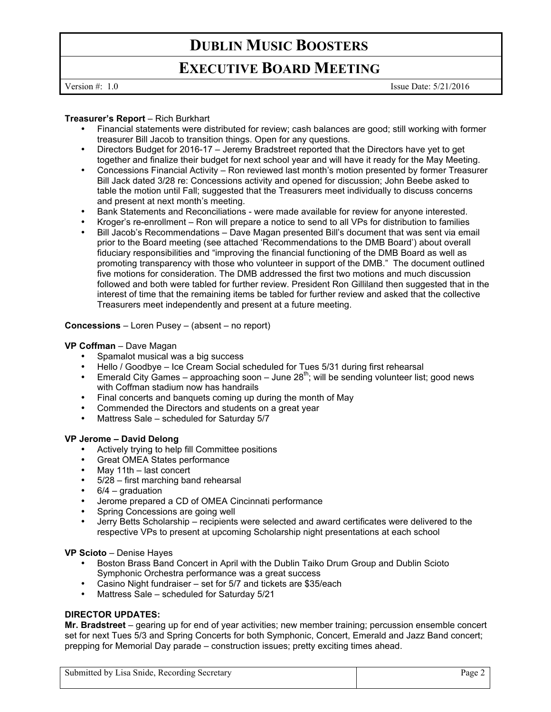# **DUBLIN MUSIC BOOSTERS**

## **EXECUTIVE BOARD MEETING**

Version #: 1.0 Issue Date: 5/21/2016

#### **Treasurer's Report** – Rich Burkhart

- Financial statements were distributed for review; cash balances are good; still working with former treasurer Bill Jacob to transition things. Open for any questions.
- Directors Budget for 2016-17 Jeremy Bradstreet reported that the Directors have yet to get together and finalize their budget for next school year and will have it ready for the May Meeting.
- Concessions Financial Activity Ron reviewed last month's motion presented by former Treasurer Bill Jack dated 3/28 re: Concessions activity and opened for discussion; John Beebe asked to table the motion until Fall; suggested that the Treasurers meet individually to discuss concerns and present at next month's meeting.
- Bank Statements and Reconciliations were made available for review for anyone interested.
- Kroger's re-enrollment Ron will prepare a notice to send to all VPs for distribution to families
- Bill Jacob's Recommendations Dave Magan presented Bill's document that was sent via email prior to the Board meeting (see attached 'Recommendations to the DMB Board') about overall fiduciary responsibilities and "improving the financial functioning of the DMB Board as well as promoting transparency with those who volunteer in support of the DMB." The document outlined five motions for consideration. The DMB addressed the first two motions and much discussion followed and both were tabled for further review. President Ron Gilliland then suggested that in the interest of time that the remaining items be tabled for further review and asked that the collective Treasurers meet independently and present at a future meeting.

#### **Concessions** – Loren Pusey – (absent – no report)

#### **VP Coffman** – Dave Magan

- Spamalot musical was a big success
- Hello / Goodbye Ice Cream Social scheduled for Tues 5/31 during first rehearsal
- Emerald City Games approaching soon June  $28<sup>th</sup>$ ; will be sending volunteer list; good news with Coffman stadium now has handrails
- Final concerts and banquets coming up during the month of May
- Commended the Directors and students on a great year
- Mattress Sale scheduled for Saturday 5/7

#### **VP Jerome – David Delong**

- Actively trying to help fill Committee positions
- Great OMEA States performance
- May 11th last concert
- 5/28 first marching band rehearsal
- $6/4$  graduation
- Jerome prepared a CD of OMEA Cincinnati performance
- Spring Concessions are going well
- Jerry Betts Scholarship recipients were selected and award certificates were delivered to the respective VPs to present at upcoming Scholarship night presentations at each school

#### **VP Scioto** – Denise Hayes

- Boston Brass Band Concert in April with the Dublin Taiko Drum Group and Dublin Scioto Symphonic Orchestra performance was a great success
- Casino Night fundraiser set for 5/7 and tickets are \$35/each
- Mattress Sale scheduled for Saturday 5/21

### **DIRECTOR UPDATES:**

**Mr. Bradstreet** – gearing up for end of year activities; new member training; percussion ensemble concert set for next Tues 5/3 and Spring Concerts for both Symphonic, Concert, Emerald and Jazz Band concert; prepping for Memorial Day parade – construction issues; pretty exciting times ahead.